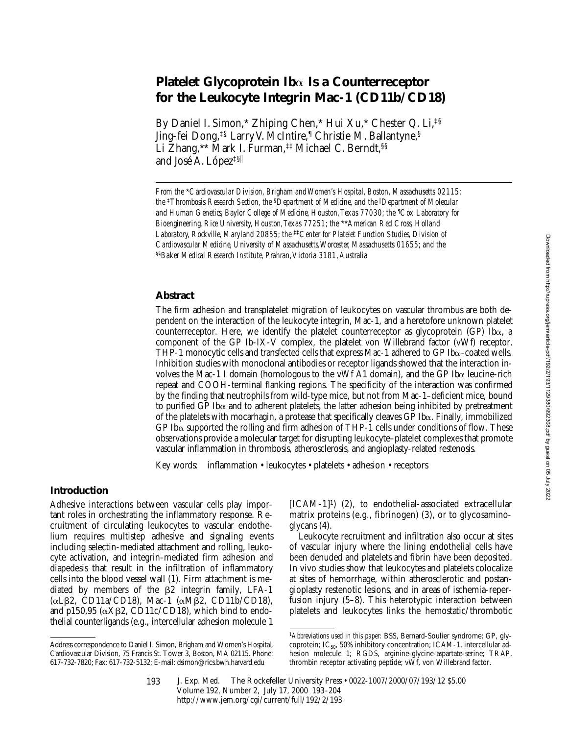# **Platelet Glycoprotein Ib**a **Is a Counterreceptor for the Leukocyte Integrin Mac-1 (CD11b/CD18)**

By Daniel I. Simon,\* Zhiping Chen,\* Hui Xu,\* Chester Q. Li,<sup>‡§</sup> Jing-fei Dong,‡§ Larry V. McIntire,¶ Christie M. Ballantyne,§ Li Zhang,\*\* Mark I. Furman,‡‡ Michael C. Berndt,§§ and José A. López<sup>‡§||</sup>

*From the* \**Cardiovascular Division, Brigham and Women's Hospital, Boston, Massachusetts 02115; the* ‡*Thrombosis Research Section, the* §*Department of Medicine, and the* <sup>i</sup> *Department of Molecular*  and Human Genetics, Baylor College of Medicine, Houston, Texas 77030; the <sup>1</sup>Cox Laboratory for *Bioengineering, Rice University, Houston, Texas 77251; the* \*\**American Red Cross, Holland Laboratory, Rockville, Maryland 20855; the* ‡‡*Center for Platelet Function Studies, Division of Cardiovascular Medicine, University of Massachusetts, Worcester, Massachusetts 01655; and the*  §§*Baker Medical Research Institute, Prahran, Victoria 3181, Australia*

# **Abstract**

The firm adhesion and transplatelet migration of leukocytes on vascular thrombus are both dependent on the interaction of the leukocyte integrin, Mac-1, and a heretofore unknown platelet counterreceptor. Here, we identify the platelet counterreceptor as glycoprotein  $(GP)$  Ib $\alpha$ , a component of the GP Ib-IX-V complex, the platelet von Willebrand factor (vWf) receptor. THP-1 monocytic cells and transfected cells that express Mac-1 adhered to GP Iba–coated wells. Inhibition studies with monoclonal antibodies or receptor ligands showed that the interaction involves the Mac-1 I domain (homologous to the vWf A1 domain), and the GP Ib $\alpha$  leucine-rich repeat and COOH-terminal flanking regions. The specificity of the interaction was confirmed by the finding that neutrophils from wild-type mice, but not from Mac-1–deficient mice, bound to purified  $GP$  Ib $\alpha$  and to adherent platelets, the latter adhesion being inhibited by pretreatment of the platelets with mocarhagin, a protease that specifically cleaves GP Iba. Finally, immobilized GP Ib $\alpha$  supported the rolling and firm adhesion of THP-1 cells under conditions of flow. These observations provide a molecular target for disrupting leukocyte–platelet complexes that promote vascular inflammation in thrombosis, atherosclerosis, and angioplasty-related restenosis.

Key words: inflammation • leukocytes • platelets • adhesion • receptors

# **Introduction**

Adhesive interactions between vascular cells play important roles in orchestrating the inflammatory response. Recruitment of circulating leukocytes to vascular endothelium requires multistep adhesive and signaling events including selectin-mediated attachment and rolling, leukocyte activation, and integrin-mediated firm adhesion and diapedesis that result in the infiltration of inflammatory cells into the blood vessel wall (1). Firm attachment is mediated by members of the  $\beta$ 2 integrin family, LFA-1 (aLb2, CD11a/CD18), Mac-1 (aMb2, CD11b/CD18), and p150,95 ( $\alpha$ X $\beta$ 2, CD11c/CD18), which bind to endothelial counterligands (e.g., intercellular adhesion molecule 1

 $[ICAM-1]$ <sup>1</sup>) (2), to endothelial-associated extracellular matrix proteins (e.g., fibrinogen) (3), or to glycosaminoglycans (4).

Leukocyte recruitment and infiltration also occur at sites of vascular injury where the lining endothelial cells have been denuded and platelets and fibrin have been deposited. In vivo studies show that leukocytes and platelets colocalize at sites of hemorrhage, within atherosclerotic and postangioplasty restenotic lesions, and in areas of ischemia-reperfusion injury (5–8). This heterotypic interaction between platelets and leukocytes links the hemostatic/thrombotic

Address correspondence to Daniel I. Simon, Brigham and Women's Hospital, Cardiovascular Division, 75 Francis St. Tower 3, Boston, MA 02115. Phone: 617-732-7820; Fax: 617-732-5132; E-mail: dsimon@rics.bwh.harvard.edu

<sup>1</sup>*Abbreviations used in this paper:* BSS, Bernard-Soulier syndrome; GP, glycoprotein; IC $_{50}$ , 50% inhibitory concentration; ICAM-1, intercellular adhesion molecule 1; RGDS, arginine-glycine-aspartate-serine; TRAP, thrombin receptor activating peptide; vWf, von Willebrand factor.

J. Exp. Med. The Rockefeller University Press • 0022-1007/2000/07/193/12 \$5.00 Volume 192, Number 2, July 17, 2000 193–204 http://www.jem.org/cgi/current/full/192/2/193 193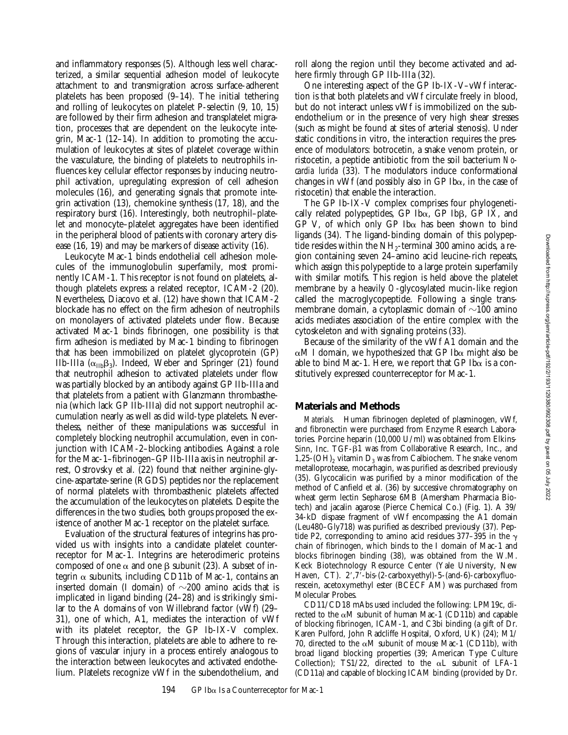and inflammatory responses (5). Although less well characterized, a similar sequential adhesion model of leukocyte attachment to and transmigration across surface-adherent platelets has been proposed (9–14). The initial tethering and rolling of leukocytes on platelet P-selectin (9, 10, 15) are followed by their firm adhesion and transplatelet migration, processes that are dependent on the leukocyte integrin, Mac-1 (12–14). In addition to promoting the accumulation of leukocytes at sites of platelet coverage within the vasculature, the binding of platelets to neutrophils influences key cellular effector responses by inducing neutrophil activation, upregulating expression of cell adhesion molecules (16), and generating signals that promote integrin activation (13), chemokine synthesis (17, 18), and the respiratory burst (16). Interestingly, both neutrophil–platelet and monocyte–platelet aggregates have been identified in the peripheral blood of patients with coronary artery disease (16, 19) and may be markers of disease activity (16).

Leukocyte Mac-1 binds endothelial cell adhesion molecules of the immunoglobulin superfamily, most prominently ICAM-1. This receptor is not found on platelets, although platelets express a related receptor, ICAM-2 (20). Nevertheless, Diacovo et al. (12) have shown that ICAM-2 blockade has no effect on the firm adhesion of neutrophils on monolayers of activated platelets under flow. Because activated Mac-1 binds fibrinogen, one possibility is that firm adhesion is mediated by Mac-1 binding to fibrinogen that has been immobilized on platelet glycoprotein (GP) IIb-IIIa  $(\alpha_{\text{IIb}}\beta_3)$ . Indeed, Weber and Springer (21) found that neutrophil adhesion to activated platelets under flow was partially blocked by an antibody against GP IIb-IIIa and that platelets from a patient with Glanzmann thrombasthenia (which lack GP IIb-IIIa) did not support neutrophil accumulation nearly as well as did wild-type platelets. Nevertheless, neither of these manipulations was successful in completely blocking neutrophil accumulation, even in conjunction with ICAM-2–blocking antibodies. Against a role for the Mac-1–fibrinogen–GP IIb-IIIa axis in neutrophil arrest, Ostrovsky et al. (22) found that neither arginine-glycine-aspartate-serine (RGDS) peptides nor the replacement of normal platelets with thrombasthenic platelets affected the accumulation of the leukocytes on platelets. Despite the differences in the two studies, both groups proposed the existence of another Mac-1 receptor on the platelet surface.

Evaluation of the structural features of integrins has provided us with insights into a candidate platelet counterreceptor for Mac-1. Integrins are heterodimeric proteins composed of one  $\alpha$  and one  $\beta$  subunit (23). A subset of integrin  $\alpha$  subunits, including CD11b of Mac-1, contains an inserted domain (I domain) of  $\sim$ 200 amino acids that is implicated in ligand binding (24–28) and is strikingly similar to the A domains of von Willebrand factor (vWf) (29– 31), one of which, A1, mediates the interaction of vWf with its platelet receptor, the GP Ib-IX-V complex. Through this interaction, platelets are able to adhere to regions of vascular injury in a process entirely analogous to the interaction between leukocytes and activated endothelium. Platelets recognize vWf in the subendothelium, and roll along the region until they become activated and adhere firmly through GP IIb-IIIa (32).

One interesting aspect of the GP Ib-IX-V–vWf interaction is that both platelets and vWf circulate freely in blood, but do not interact unless vWf is immobilized on the subendothelium or in the presence of very high shear stresses (such as might be found at sites of arterial stenosis). Under static conditions in vitro, the interaction requires the presence of modulators: botrocetin, a snake venom protein, or ristocetin, a peptide antibiotic from the soil bacterium *Nocardia lurida* (33). The modulators induce conformational changes in vWf (and possibly also in GP Ib $\alpha$ , in the case of ristocetin) that enable the interaction.

The GP Ib-IX-V complex comprises four phylogenetically related polypeptides, GP Ib $\alpha$ , GP Ib $\beta$ , GP IX, and  $GP^{v}V$ , of which only  $GP$  Ib $\alpha$  has been shown to bind ligands (34). The ligand-binding domain of this polypeptide resides within the  $NH<sub>2</sub>$ -terminal 300 amino acids, a region containing seven 24–amino acid leucine-rich repeats, which assign this polypeptide to a large protein superfamily with similar motifs. This region is held above the platelet membrane by a heavily *O*-glycosylated mucin-like region called the macroglycopeptide. Following a single transmembrane domain, a cytoplasmic domain of  $\sim$ 100 amino acids mediates association of the entire complex with the cytoskeleton and with signaling proteins (33).

Because of the similarity of the vWf A1 domain and the  $\alpha$ M I domain, we hypothesized that GP Ib $\alpha$  might also be able to bind Mac-1. Here, we report that GP Ib $\alpha$  is a constitutively expressed counterreceptor for Mac-1.

#### **Materials and Methods**

*Materials.* Human fibrinogen depleted of plasminogen, vWf, and fibronectin were purchased from Enzyme Research Laboratories. Porcine heparin (10,000 U/ml) was obtained from Elkins-Sinn, Inc. TGF- $\beta$ 1 was from Collaborative Research, Inc., and 1,25-(OH)<sub>2</sub> vitamin  $D_3$  was from Calbiochem. The snake venom metalloprotease, mocarhagin, was purified as described previously (35). Glycocalicin was purified by a minor modification of the method of Canfield et al. (36) by successive chromatography on wheat germ lectin Sepharose 6MB (Amersham Pharmacia Biotech) and jacalin agarose (Pierce Chemical Co.) (Fig. 1). A 39/ 34-kD dispase fragment of vWf encompassing the A1 domain (Leu480–Gly718) was purified as described previously (37). Peptide P2, corresponding to amino acid residues 377–395 in the  $\gamma$ chain of fibrinogen, which binds to the I domain of Mac-1 and blocks fibrinogen binding (38), was obtained from the W.M. Keck Biotechnology Resource Center (Yale University, New Haven, CT).  $2', 7'$ -bis-(2-carboxyethyl)-5-(and-6)-carboxyfluorescein, acetoxymethyl ester (BCECF AM) was purchased from Molecular Probes.

CD11/CD18 mAbs used included the following: LPM19c, directed to the  $\alpha$ M subunit of human Mac-1 (CD11b) and capable of blocking fibrinogen, ICAM-1, and C3bi binding (a gift of Dr. Karen Pulford, John Radcliffe Hospital, Oxford, UK) (24); M1/ 70, directed to the  $\alpha$ M subunit of mouse Mac-1 (CD11b), with broad ligand blocking properties (39; American Type Culture Collection); TS1/22, directed to the  $\alpha$ L subunit of LFA-1 (CD11a) and capable of blocking ICAM binding (provided by Dr.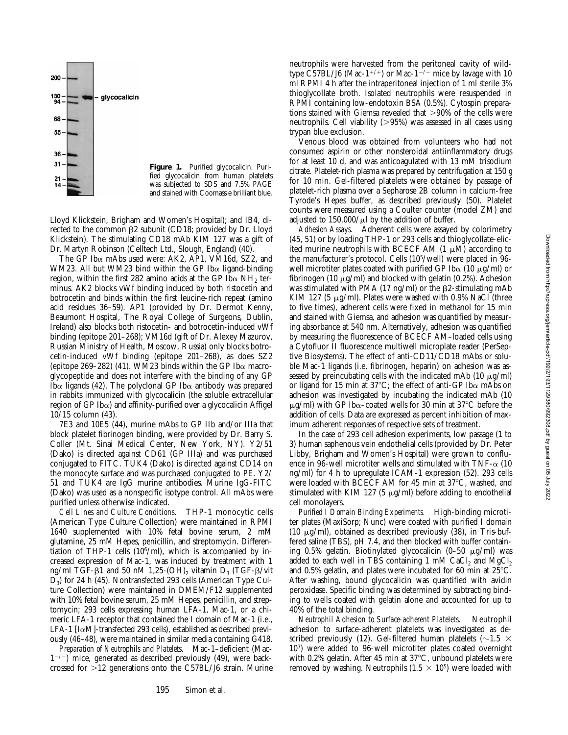

**Figure 1.** Purified glycocalicin. Purified glycocalicin from human platelets was subjected to SDS and 7.5% PAGE and stained with Coomassie brilliant blue.

Lloyd Klickstein, Brigham and Women's Hospital); and IB4, directed to the common  $\beta$ 2 subunit (CD18; provided by Dr. Lloyd Klickstein). The stimulating CD18 mAb KIM 127 was a gift of Dr. Martyn Robinson (Celltech Ltd., Slough, England) (40).

The GP Iba mAbs used were: AK2, AP1, VM16d, SZ2, and WM23. All but WM23 bind within the GP Ib $\alpha$  ligand-binding region, within the first 282 amino acids at the GP Ib $\alpha$  NH<sub>2</sub> terminus. AK2 blocks vWf binding induced by both ristocetin and botrocetin and binds within the first leucine-rich repeat (amino acid residues 36–59). AP1 (provided by Dr. Dermot Kenny, Beaumont Hospital, The Royal College of Surgeons, Dublin, Ireland) also blocks both ristocetin- and botrocetin-induced vWf binding (epitope 201–268); VM16d (gift of Dr. Alexey Mazurov, Russian Ministry of Health, Moscow, Russia) only blocks botrocetin-induced vWf binding (epitope 201–268), as does SZ2 (epitope 269–282) (41). WM23 binds within the GP Ib $\alpha$  macroglycopeptide and does not interfere with the binding of any GP Ib $\alpha$  ligands (42). The polyclonal GP Ib $\alpha$  antibody was prepared in rabbits immunized with glycocalicin (the soluble extracellular region of GP Ib $\alpha$ ) and affinity-purified over a glycocalicin Affigel 10/15 column (43).

7E3 and 10E5 (44), murine mAbs to GP IIb and/or IIIa that block platelet fibrinogen binding, were provided by Dr. Barry S. Coller (Mt. Sinai Medical Center, New York, NY). Y2/51 (Dako) is directed against CD61 (GP IIIa) and was purchased conjugated to FITC. TUK4 (Dako) is directed against CD14 on the monocyte surface and was purchased conjugated to PE. Y2/ 51 and TUK4 are IgG murine antibodies. Murine IgG-FITC (Dako) was used as a nonspecific isotype control. All mAbs were purified unless otherwise indicated.

*Cell Lines and Culture Conditions.* THP-1 monocytic cells (American Type Culture Collection) were maintained in RPMI 1640 supplemented with 10% fetal bovine serum, 2 mM glutamine, 25 mM Hepes, penicillin, and streptomycin. Differentiation of THP-1 cells  $(10^6/\text{ml})$ , which is accompanied by increased expression of Mac-1, was induced by treatment with 1 ng/ml TGF- $\beta$ 1 and 50 nM 1,25-(OH)<sub>2</sub> vitamin D<sub>3</sub> (TGF- $\beta$ /vit D3) for 24 h (45). Nontransfected 293 cells (American Type Culture Collection) were maintained in DMEM/F12 supplemented with 10% fetal bovine serum, 25 mM Hepes, penicillin, and streptomycin; 293 cells expressing human LFA-1, Mac-1, or a chimeric LFA-1 receptor that contained the I domain of Mac-1 (i.e., LFA-1  $[I\alpha M]$ -transfected 293 cells), established as described previously (46–48), were maintained in similar media containing G418.

*Preparation of Neutrophils and Platelets.* Mac-1–deficient (Mac- $1^{-/-}$ ) mice, generated as described previously (49), were backcrossed for  $>12$  generations onto the C57BL/J6 strain. Murine neutrophils were harvested from the peritoneal cavity of wildtype C57BL/J6 (Mac-1<sup>+/+</sup>) or Mac-1<sup>-/-</sup> mice by lavage with 10 ml RPMI 4 h after the intraperitoneal injection of 1 ml sterile 3% thioglycollate broth. Isolated neutrophils were resuspended in RPMI containing low-endotoxin BSA (0.5%). Cytospin preparations stained with Giemsa revealed that  $>90\%$  of the cells were neutrophils. Cell viability  $(>95%)$  was assessed in all cases using trypan blue exclusion.

Venous blood was obtained from volunteers who had not consumed aspirin or other nonsteroidal antiinflammatory drugs for at least 10 d, and was anticoagulated with 13 mM trisodium citrate. Platelet-rich plasma was prepared by centrifugation at 150 *g* for 10 min. Gel-filtered platelets were obtained by passage of platelet-rich plasma over a Sepharose 2B column in calcium-free Tyrode's Hepes buffer, as described previously (50). Platelet counts were measured using a Coulter counter (model ZM) and adjusted to  $150,000/\mu l$  by the addition of buffer.

*Adhesion Assays.* Adherent cells were assayed by colorimetry (45, 51) or by loading THP-1 or 293 cells and thioglycollate-elicited murine neutrophils with BCECF AM  $(1 \mu M)$  according to the manufacturer's protocol. Cells (105/well) were placed in 96 well microtiter plates coated with purified GP Ib $\alpha$  (10  $\mu$ g/ml) or fibrinogen (10  $\mu$ g/ml) and blocked with gelatin (0.2%). Adhesion was stimulated with PMA (17 ng/ml) or the  $\beta$ 2-stimulating mAb KIM 127 (5  $\mu$ g/ml). Plates were washed with 0.9% NaCl (three to five times), adherent cells were fixed in methanol for 15 min and stained with Giemsa, and adhesion was quantified by measuring absorbance at 540 nm. Alternatively, adhesion was quantified by measuring the fluorescence of BCECF AM–loaded cells using a Cytofluor II fluorescence multiwell microplate reader (PerSeptive Biosystems). The effect of anti-CD11/CD18 mAbs or soluble Mac-1 ligands (i.e, fibrinogen, heparin) on adhesion was assessed by preincubating cells with the indicated mAb  $(10 \mu g/ml)$ or ligand for 15 min at 37 $^{\circ}$ C; the effect of anti-GP Ib $\alpha$  mAbs on adhesion was investigated by incubating the indicated mAb (10  $\mu$ g/ml) with GP Ib $\alpha$ –coated wells for 30 min at 37°C before the addition of cells. Data are expressed as percent inhibition of maximum adherent responses of respective sets of treatment.

In the case of 293 cell adhesion experiments, low passage (1 to 3) human saphenous vein endothelial cells (provided by Dr. Peter Libby, Brigham and Women's Hospital) were grown to confluence in 96-well microtiter wells and stimulated with TNF- $\alpha$  (10 ng/ml) for 4 h to upregulate ICAM-1 expression (52). 293 cells were loaded with BCECF AM for 45 min at  $37^{\circ}$ C, washed, and stimulated with KIM 127 (5  $\mu$ g/ml) before adding to endothelial cell monolayers.

*Purified I Domain Binding Experiments.* High-binding microtiter plates (MaxiSorp; Nunc) were coated with purified I domain (10  $\mu$ g/ml), obtained as described previously (38), in Tris-buffered saline (TBS), pH 7.4, and then blocked with buffer containing 0.5% gelatin. Biotinylated glycocalicin  $(0-50 \mu g/ml)$  was added to each well in TBS containing 1 mM CaCl<sub>2</sub> and MgCl<sub>2</sub> and 0.5% gelatin, and plates were incubated for 60 min at  $25^{\circ}$ C. After washing, bound glycocalicin was quantified with avidin peroxidase. Specific binding was determined by subtracting binding to wells coated with gelatin alone and accounted for up to 40% of the total binding.

*Neutrophil Adhesion to Surface-adherent Platelets.* Neutrophil adhesion to surface-adherent platelets was investigated as described previously (12). Gel-filtered human platelets ( $\sim$ 1.5  $\times$ 107) were added to 96-well microtiter plates coated overnight with 0.2% gelatin. After 45 min at  $37^{\circ}$ C, unbound platelets were removed by washing. Neutrophils  $(1.5 \times 10^5)$  were loaded with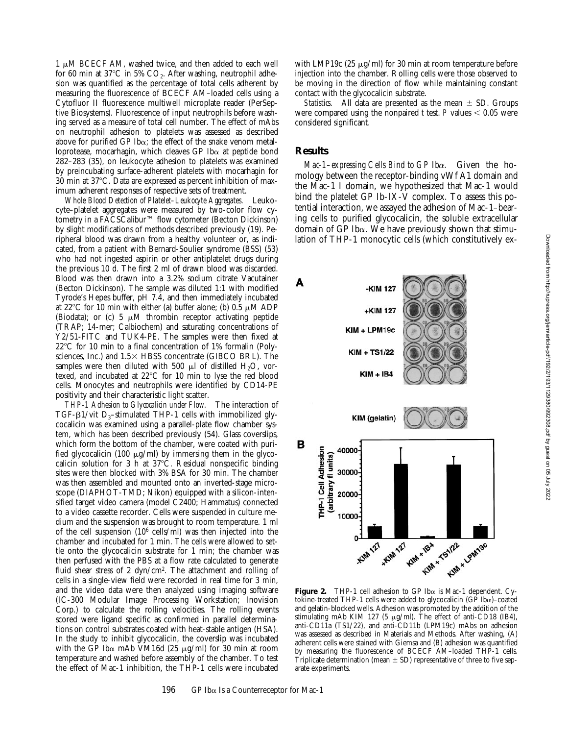$1 \mu M$  BCECF AM, washed twice, and then added to each well for 60 min at 37 $^{\circ}$ C in 5% CO<sub>2</sub>. After washing, neutrophil adhesion was quantified as the percentage of total cells adherent by measuring the fluorescence of BCECF AM–loaded cells using a Cytofluor II fluorescence multiwell microplate reader (PerSeptive Biosystems). Fluorescence of input neutrophils before washing served as a measure of total cell number. The effect of mAbs on neutrophil adhesion to platelets was assessed as described above for purified GP Ib $\alpha$ ; the effect of the snake venom metalloprotease, mocarhagin, which cleaves GP Ib $\alpha$  at peptide bond 282–283 (35), on leukocyte adhesion to platelets was examined by preincubating surface-adherent platelets with mocarhagin for 30 min at  $37^{\circ}$ C. Data are expressed as percent inhibition of maximum adherent responses of respective sets of treatment.

*Whole Blood Detection of Platelet–Leukocyte Aggregates.* Leukocyte–platelet aggregates were measured by two-color flow cytometry in a FACSCalibur™ flow cytometer (Becton Dickinson) by slight modifications of methods described previously (19). Peripheral blood was drawn from a healthy volunteer or, as indicated, from a patient with Bernard-Soulier syndrome (BSS) (53) who had not ingested aspirin or other antiplatelet drugs during the previous 10 d. The first 2 ml of drawn blood was discarded. Blood was then drawn into a 3.2% sodium citrate Vacutainer (Becton Dickinson). The sample was diluted 1:1 with modified Tyrode's Hepes buffer, pH 7.4, and then immediately incubated at 22 $\degree$ C for 10 min with either (a) buffer alone; (b) 0.5  $\mu$ M ADP (Biodata); or (c) 5  $\mu$ M thrombin receptor activating peptide (TRAP; 14-mer; Calbiochem) and saturating concentrations of Y2/51-FITC and TUK4-PE. The samples were then fixed at  $22^{\circ}$ C for 10 min to a final concentration of 1% formalin (Polysciences, Inc.) and  $1.5 \times$  HBSS concentrate (GIBCO BRL). The samples were then diluted with 500  $\mu$ l of distilled H<sub>2</sub>O, vortexed, and incubated at  $22^{\circ}$ C for 10 min to lyse the red blood cells. Monocytes and neutrophils were identified by CD14-PE positivity and their characteristic light scatter.

*THP-1 Adhesion to Glycocalicin under Flow.* The interaction of TGF- $\beta$ 1/vit D<sub>3</sub>-stimulated THP-1 cells with immobilized glycocalicin was examined using a parallel-plate flow chamber system, which has been described previously (54). Glass coverslips, which form the bottom of the chamber, were coated with purified glycocalicin (100  $\mu$ g/ml) by immersing them in the glycocalicin solution for 3 h at  $37^{\circ}$ C. Residual nonspecific binding sites were then blocked with 3% BSA for 30 min. The chamber was then assembled and mounted onto an inverted-stage microscope (DIAPHOT-TMD; Nikon) equipped with a silicon-intensified target video camera (model C2400; Hammatus) connected to a video cassette recorder. Cells were suspended in culture medium and the suspension was brought to room temperature. 1 ml of the cell suspension (106 cells/ml) was then injected into the chamber and incubated for 1 min. The cells were allowed to settle onto the glycocalicin substrate for 1 min; the chamber was then perfused with the PBS at a flow rate calculated to generate fluid shear stress of 2 dyn/cm<sup>2</sup>. The attachment and rolling of cells in a single-view field were recorded in real time for 3 min, and the video data were then analyzed using imaging software (IC-300 Modular Image Processing Workstation; Inovision Corp.) to calculate the rolling velocities. The rolling events scored were ligand specific as confirmed in parallel determinations on control substrates coated with heat-stable antigen (HSA). In the study to inhibit glycocalicin, the coverslip was incubated with the GP Ib $\alpha$  mAb VM16d (25  $\mu$ g/ml) for 30 min at room temperature and washed before assembly of the chamber. To test the effect of Mac-1 inhibition, the THP-1 cells were incubated

with LMP19c (25  $\mu$ g/ml) for 30 min at room temperature before injection into the chamber. Rolling cells were those observed to be moving in the direction of flow while maintaining constant contact with the glycocalicin substrate.

*Statistics.* All data are presented as the mean  $\pm$  SD. Groups were compared using the nonpaired  $t$  test.  $P$  values  $< 0.05$  were considered significant.

#### **Results**

*Mac-1–expressing Cells Bind to GP Ib*a*.* Given the homology between the receptor-binding vWf A1 domain and the Mac-1 I domain, we hypothesized that Mac-1 would bind the platelet GP Ib-IX-V complex. To assess this potential interaction, we assayed the adhesion of Mac-1–bearing cells to purified glycocalicin, the soluble extracellular domain of GP Ib $\alpha$ . We have previously shown that stimulation of THP-1 monocytic cells (which constitutively ex-



**Figure 2.** THP-1 cell adhesion to GP Iba is Mac-1 dependent. Cytokine-treated THP-1 cells were added to glycocalicin (GP Ib $\alpha$ )–coated and gelatin-blocked wells. Adhesion was promoted by the addition of the stimulating mAb KIM 127 (5  $\mu$ g/ml). The effect of anti-CD18 (IB4), anti-CD11a (TS1/22), and anti-CD11b (LPM19c) mAbs on adhesion was assessed as described in Materials and Methods. After washing, (A) adherent cells were stained with Giemsa and (B) adhesion was quantified by measuring the fluorescence of BCECF AM–loaded THP-1 cells. Triplicate determination (mean  $\pm$  SD) representative of three to five separate experiments.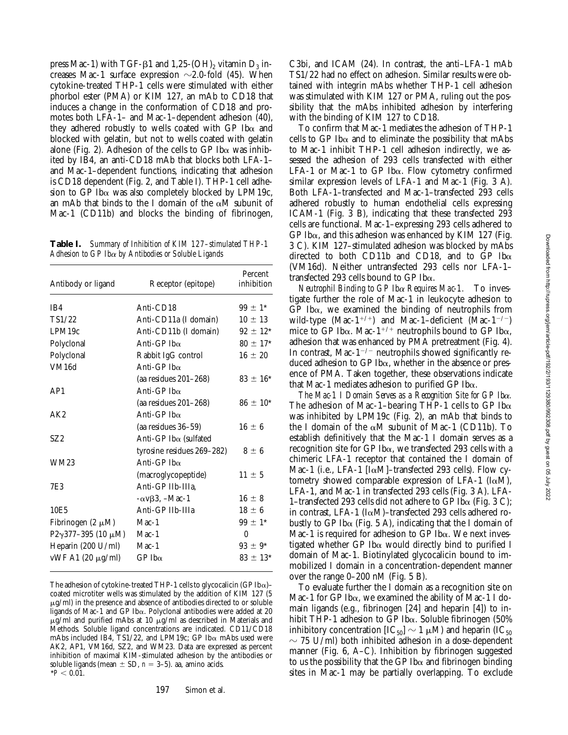press Mac-1) with TGF- $\beta$ 1 and 1,25-(OH)<sub>2</sub> vitamin D<sub>3</sub> increases Mac-1 surface expression  $\sim$ 2.0-fold (45). When cytokine-treated THP-1 cells were stimulated with either phorbol ester (PMA) or KIM 127, an mAb to CD18 that induces a change in the conformation of CD18 and promotes both LFA-1– and Mac-1–dependent adhesion (40), they adhered robustly to wells coated with GP Ib $\alpha$  and blocked with gelatin, but not to wells coated with gelatin alone (Fig. 2). Adhesion of the cells to GP Ib $\alpha$  was inhibited by IB4, an anti-CD18 mAb that blocks both LFA-1– and Mac-1–dependent functions, indicating that adhesion is CD18 dependent (Fig. 2, and Table I). THP-1 cell adhesion to GP Ib $\alpha$  was also completely blocked by LPM19c, an mAb that binds to the I domain of the  $\alpha$ M subunit of Mac-1 (CD11b) and blocks the binding of fibrinogen,

**Table I.** *Summary of Inhibition of KIM 127–stimulated THP-1 Adhesion to GP Ib*a *by Antibodies or Soluble Ligands*

| Antibody or ligand                | Receptor (epitope)           | Percent<br>inhibition |
|-----------------------------------|------------------------------|-----------------------|
| IB4                               | Anti-CD18                    | $99 \pm 1^*$          |
| TS1/22                            | Anti-CD11a (I domain)        | $10 \pm 13$           |
| LPM19c                            | Anti-CD11b (I domain)        | $92 \pm 12^*$         |
| Polyclonal                        | Anti-GP Ib $\alpha$          | $80 \pm 17$ *         |
| Polyclonal                        | Rabbit IgG control           | $16 \pm 20$           |
| VM16d                             | Anti-GP Ib $\alpha$          |                       |
|                                   | (aa residues $201-268$ )     | $83 \pm 16^*$         |
| AP1                               | Anti-GP Ib $\alpha$          |                       |
|                                   | (aa residues $201-268$ )     | $86 \pm 10^{*}$       |
| AK2                               | Anti-GP Ib $\alpha$          |                       |
|                                   | (aa residues 36–59)          | $16 \pm 6$            |
| SZ2                               | Anti-GP Ibα (sulfated        |                       |
|                                   | tyrosine residues 269-282)   | $8 \pm 6$             |
| <b>WM23</b>                       | Anti-GP Ib $\alpha$          |                       |
|                                   | (macroglycopeptide)          | $11 \pm 5$            |
| 7E3                               | Anti-GP IIb-IIIa,            |                       |
|                                   | $-\alpha v\beta$ 3, $-Mac-1$ | $16 \pm 8$            |
| 10E5                              | Anti-GP IIb-IIIa             | $18 \pm 6$            |
| Fibrinogen (2 $\mu$ M)            | $Mac-1$                      | $99 \pm 1$ *          |
| P2 $\gamma$ 377-395 (10 µM) Mac-1 |                              | $\theta$              |
| Heparin (200 U/ml)                | $Mac-1$                      | $93 \pm 9^*$          |
| vWF A1 $(20 \mu g/ml)$            | $GP$ Ib $\alpha$             | $83 \pm 13^*$         |

The adhesion of cytokine-treated THP-1 cells to glycocalicin (GP Ib $\alpha$ )coated microtiter wells was stimulated by the addition of KIM 127 (5  $\mu$ g/ml) in the presence and absence of antibodies directed to or soluble ligands of Mac-1 and GP Iba. Polyclonal antibodies were added at 20  $\mu$ g/ml and purified mAbs at 10  $\mu$ g/ml as described in Materials and Methods. Soluble ligand concentrations are indicated. CD11/CD18 mAbs included IB4, TS1/22, and LPM19c; GP Ib $\alpha$  mAbs used were AK2, AP1, VM16d, SZ2, and WM23. Data are expressed as percent inhibition of maximal KIM-stimulated adhesion by the antibodies or soluble ligands (mean  $\pm$  SD,  $n = 3-5$ ). aa, amino acids.  $*P < 0.01$ .

C3bi, and ICAM (24). In contrast, the anti–LFA-1 mAb TS1/22 had no effect on adhesion. Similar results were obtained with integrin mAbs whether THP-1 cell adhesion was stimulated with KIM 127 or PMA, ruling out the possibility that the mAbs inhibited adhesion by interfering with the binding of KIM 127 to CD18.

To confirm that Mac-1 mediates the adhesion of THP-1 cells to GP Ib $\alpha$  and to eliminate the possibility that mAbs to Mac-1 inhibit THP-1 cell adhesion indirectly, we assessed the adhesion of 293 cells transfected with either LFA-1 or Mac-1 to GP Ib $\alpha$ . Flow cytometry confirmed similar expression levels of LFA-1 and Mac-1 (Fig. 3 A). Both LFA-1–transfected and Mac-1–transfected 293 cells adhered robustly to human endothelial cells expressing ICAM-1 (Fig. 3 B), indicating that these transfected 293 cells are functional. Mac-1–expressing 293 cells adhered to GP Ib $\alpha$ , and this adhesion was enhanced by KIM 127 (Fig. 3 C). KIM 127–stimulated adhesion was blocked by mAbs directed to both CD11b and CD18, and to GP Ib $\alpha$ (VM16d). Neither untransfected 293 cells nor LFA-1– transfected 293 cells bound to GP Iba.

*Neutrophil Binding to GP Ib*a *Requires Mac-1.* To investigate further the role of Mac-1 in leukocyte adhesion to  $GP$  Ib $\alpha$ , we examined the binding of neutrophils from wild-type (Mac-1<sup>+/+</sup>) and Mac-1–deficient (Mac-1<sup>-/-</sup>) mice to GP Ib $\alpha$ . Mac-1<sup>+/+</sup> neutrophils bound to GP Ib $\alpha$ , adhesion that was enhanced by PMA pretreatment (Fig. 4). In contrast, Mac-1<sup> $-/-$ </sup> neutrophils showed significantly reduced adhesion to GP Ib $\alpha$ , whether in the absence or presence of PMA. Taken together, these observations indicate that Mac-1 mediates adhesion to purified GP Iba.

*The Mac-1 I Domain Serves as a Recognition Site for GP Ib*a*.* The adhesion of Mac-1–bearing THP-1 cells to GP Ib $\alpha$ was inhibited by LPM19c (Fig. 2), an mAb that binds to the I domain of the  $\alpha$ M subunit of Mac-1 (CD11b). To establish definitively that the Mac-1 I domain serves as a recognition site for GP Ib $\alpha$ , we transfected 293 cells with a chimeric LFA-1 receptor that contained the I domain of Mac-1 (i.e., LFA-1 [ $I\alpha$ M]–transfected 293 cells). Flow cytometry showed comparable expression of LFA-1 ( $I\alpha$ M), LFA-1, and Mac-1 in transfected 293 cells (Fig. 3 A). LFA-1–transfected 293 cells did not adhere to GP Ib $\alpha$  (Fig. 3 C): in contrast, LFA-1 ( $I\alpha M$ )–transfected 293 cells adhered robustly to GP Ib $\alpha$  (Fig. 5 A), indicating that the I domain of Mac-1 is required for adhesion to GP Ib $\alpha$ . We next investigated whether GP Ib $\alpha$  would directly bind to purified I domain of Mac-1. Biotinylated glycocalicin bound to immobilized I domain in a concentration-dependent manner over the range 0–200 nM (Fig. 5 B).

To evaluate further the I domain as a recognition site on Mac-1 for GP Ib $\alpha$ , we examined the ability of Mac-1 I domain ligands (e.g., fibrinogen [24] and heparin [4]) to inhibit THP-1 adhesion to GP Ib $\alpha$ . Soluble fibrinogen (50%) inhibitory concentration  $[IC_{50}] \sim 1 \mu M$ ) and heparin (IC<sub>50</sub>)  $\sim$  75 U/ml) both inhibited adhesion in a dose-dependent manner (Fig. 6, A–C). Inhibition by fibrinogen suggested to us the possibility that the GP Ib $\alpha$  and fibrinogen binding sites in Mac-1 may be partially overlapping. To exclude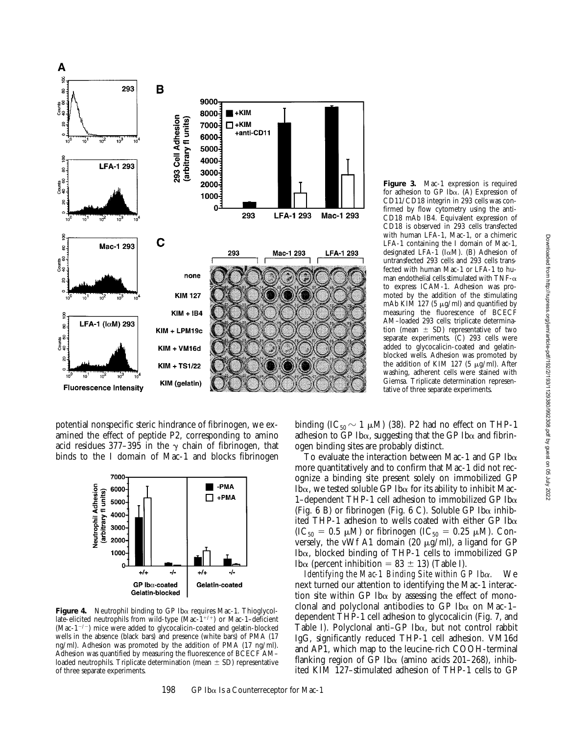

potential nonspecific steric hindrance of fibrinogen, we examined the effect of peptide P2, corresponding to amino acid residues 377-395 in the  $\gamma$  chain of fibrinogen, that binds to the I domain of Mac-1 and blocks fibrinogen



**Figure 4.** Neutrophil binding to GP Iba requires Mac-1. Thioglycollate-elicited neutrophils from wild-type  $(Mac-1^{+/+})$  or Mac-1–deficient (Mac-1 $^{-/-}$ ) mice were added to glycocalicin-coated and gelatin-blocked wells in the absence (black bars) and presence (white bars) of PMA (17 ng/ml). Adhesion was promoted by the addition of PMA (17 ng/ml). Adhesion was quantified by measuring the fluorescence of BCECF AM– loaded neutrophils. Triplicate determination (mean  $\pm$  SD) representative of three separate experiments.

198 GP Ib $\alpha$  Is a Counterreceptor for Mac-1

**Figure 3.** Mac-1 expression is required for adhesion to GP Iba. (A) Expression of CD11/CD18 integrin in 293 cells was confirmed by flow cytometry using the anti-CD18 mAb IB4. Equivalent expression of CD18 is observed in 293 cells transfected with human LFA-1, Mac-1, or a chimeric LFA-1 containing the I domain of Mac-1, designated LFA-1 ( $I\alpha M$ ). (B) Adhesion of untransfected 293 cells and 293 cells transfected with human Mac-1 or LFA-1 to human endothelial cells stimulated with TNF- $\alpha$ to express ICAM-1. Adhesion was promoted by the addition of the stimulating mAb KIM 127 (5  $\mu$ g/ml) and quantified by measuring the fluorescence of BCECF AM–loaded 293 cells; triplicate determination (mean  $\pm$  SD) representative of two separate experiments.  $(C)$  293 cells were added to glycocalicin-coated and gelatinblocked wells. Adhesion was promoted by the addition of KIM 127 (5  $\mu$ g/ml). After washing, adherent cells were stained with Giemsa. Triplicate determination representative of three separate experiments.

binding (IC<sub>50</sub>  $\sim$  1  $\mu$ M) (38). P2 had no effect on THP-1 adhesion to GP Ib $\alpha$ , suggesting that the GP Ib $\alpha$  and fibrinogen binding sites are probably distinct.

To evaluate the interaction between Mac-1 and GP Ib $\alpha$ more quantitatively and to confirm that Mac-1 did not recognize a binding site present solely on immobilized GP Ib $\alpha$ , we tested soluble GP Ib $\alpha$  for its ability to inhibit Mac-1-dependent THP-1 cell adhesion to immobilized GP Ib $\alpha$ (Fig. 6 B) or fibrinogen (Fig. 6 C). Soluble GP Ib $\alpha$  inhibited THP-1 adhesion to wells coated with either GP Ib $\alpha$  $(IC_{50} = 0.5 \mu M)$  or fibrinogen  $(IC_{50} = 0.25 \mu M)$ . Conversely, the vWf A1 domain (20  $\mu$ g/ml), a ligand for GP Iba, blocked binding of THP-1 cells to immobilized GP Ibα (percent inhibition = 83  $\pm$  13) (Table I).

*Identifying the Mac-1 Binding Site within GP Ib*a*.* We next turned our attention to identifying the Mac-1 interaction site within GP Ib $\alpha$  by assessing the effect of monoclonal and polyclonal antibodies to GP Ib $\alpha$  on Mac-1– dependent THP-1 cell adhesion to glycocalicin (Fig. 7, and Table I). Polyclonal anti–GP Iba, but not control rabbit IgG, significantly reduced THP-1 cell adhesion. VM16d and AP1, which map to the leucine-rich COOH-terminal flanking region of GP Ib $\alpha$  (amino acids 201–268), inhibited KIM 127–stimulated adhesion of THP-1 cells to GP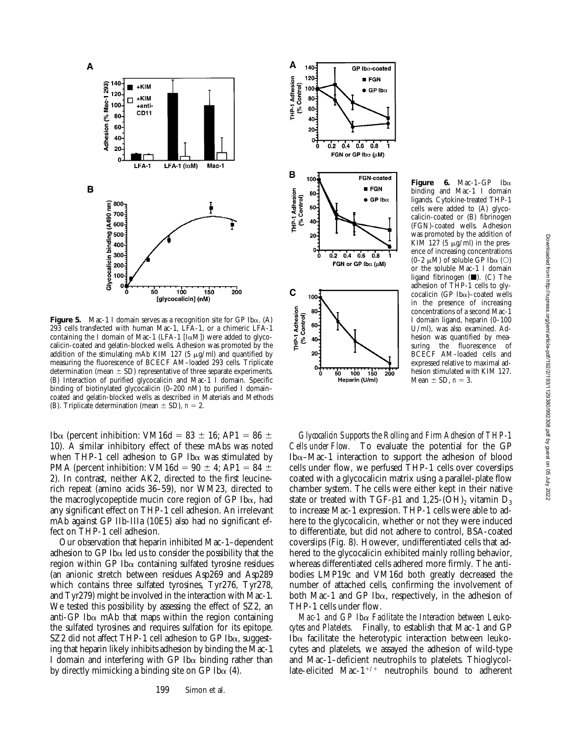

**Figure 5.** Mac-1 I domain serves as a recognition site for GP Ib $\alpha$ . (A) 293 cells transfected with human Mac-1, LFA-1, or a chimeric LFA-1 containing the I domain of Mac-1 (LFA-1  $[I\alpha M]$ ) were added to glycocalicin-coated and gelatin-blocked wells. Adhesion was promoted by the addition of the stimulating mAb KIM 127 (5  $\mu$ g/ml) and quantified by measuring the fluorescence of BCECF AM–loaded 293 cells. Triplicate determination (mean  $\pm$  SD) representative of three separate experiments. (B) Interaction of purified glycocalicin and Mac-1 I domain. Specific binding of biotinylated glycocalicin (0–200 nM) to purified I domain– coated and gelatin-blocked wells as described in Materials and Methods (B). Triplicate determination (mean  $\pm$  SD),  $n = 2$ .

Ib $\alpha$  (percent inhibition: VM16d = 83  $\pm$  16; AP1 = 86  $\pm$ 10). A similar inhibitory effect of these mAbs was noted when THP-1 cell adhesion to GP Ib $\alpha$  was stimulated by PMA (percent inhibition: VM16d =  $90 \pm 4$ ; AP1 =  $84 \pm 4$ 2). In contrast, neither AK2, directed to the first leucinerich repeat (amino acids 36–59), nor WM23, directed to the macroglycopeptide mucin core region of GP Iba, had any significant effect on THP-1 cell adhesion. An irrelevant mAb against GP IIb-IIIa (10E5) also had no significant effect on THP-1 cell adhesion.

Our observation that heparin inhibited Mac-1–dependent adhesion to GP Ib $\alpha$  led us to consider the possibility that the region within GP Ib $\alpha$  containing sulfated tyrosine residues (an anionic stretch between residues Asp269 and Asp289 which contains three sulfated tyrosines, Tyr276, Tyr278, and Tyr279) might be involved in the interaction with Mac-1. We tested this possibility by assessing the effect of SZ2, an anti-GP Ib $\alpha$  mAb that maps within the region containing the sulfated tyrosines and requires sulfation for its epitope. SZ2 did not affect THP-1 cell adhesion to GP Iba, suggesting that heparin likely inhibits adhesion by binding the Mac-1 I domain and interfering with GP Ib $\alpha$  binding rather than by directly mimicking a binding site on GP Ib $\alpha$  (4).



**Figure 6.** Mac-1–GP Iba binding and Mac-1 I domain ligands. Cytokine-treated THP-1 cells were added to (A) glycocalicin-coated or (B) fibrinogen (FGN)-coated wells. Adhesion was promoted by the addition of KIM 127 (5  $\mu$ g/ml) in the presence of increasing concentrations  $(0-2 \mu M)$  of soluble GP Ib $\alpha$  (O) or the soluble Mac-1 I domain ligand fibrinogen  $(\blacksquare)$ . (C) The adhesion of THP-1 cells to glycocalicin (GP Ib $\alpha$ )–coated wells in the presence of increasing concentrations of a second Mac-1 I domain ligand, heparin (0–100 U/ml), was also examined. Adhesion was quantified by measuring the fluorescence of BCECF AM–loaded cells and expressed relative to maximal adhesion stimulated with KIM 127. Mean  $\pm$  SD,  $n = 3$ .

*Glycocalicin Supports the Rolling and Firm Adhesion of THP-1 Cells under Flow.* To evaluate the potential for the GP Ib $\alpha$ –Mac-1 interaction to support the adhesion of blood cells under flow, we perfused THP-1 cells over coverslips coated with a glycocalicin matrix using a parallel-plate flow chamber system. The cells were either kept in their native state or treated with TGF- $\beta$ 1 and 1,25-(OH)<sub>2</sub> vitamin D<sub>3</sub> to increase Mac-1 expression. THP-1 cells were able to adhere to the glycocalicin, whether or not they were induced to differentiate, but did not adhere to control, BSA-coated coverslips (Fig. 8). However, undifferentiated cells that adhered to the glycocalicin exhibited mainly rolling behavior, whereas differentiated cells adhered more firmly. The antibodies LMP19c and VM16d both greatly decreased the number of attached cells, confirming the involvement of both Mac-1 and GP Ib $\alpha$ , respectively, in the adhesion of THP-1 cells under flow.

*Mac-1 and GP Ib*a *Facilitate the Interaction between Leukocytes and Platelets.* Finally, to establish that Mac-1 and GP Ib $\alpha$  facilitate the heterotypic interaction between leukocytes and platelets, we assayed the adhesion of wild-type and Mac-1–deficient neutrophils to platelets. Thioglycollate-elicited Mac- $1^{+/+}$  neutrophils bound to adherent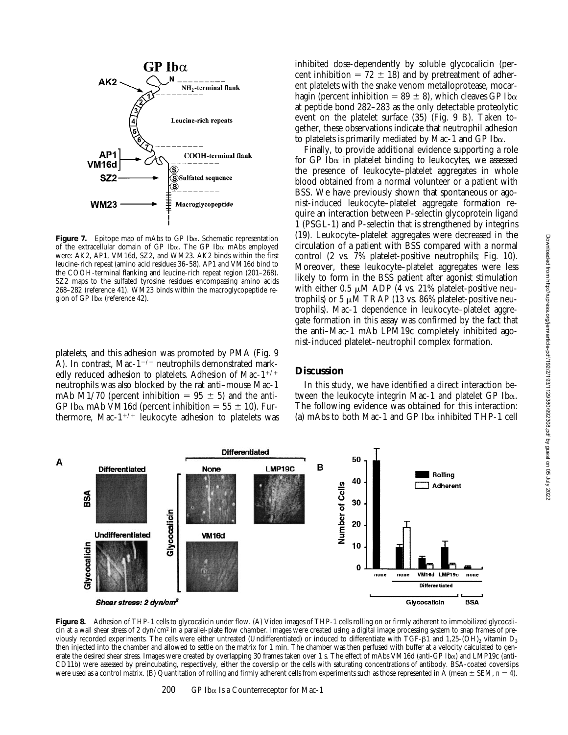

**Figure 7.** Epitope map of mAbs to GP Iba. Schematic representation of the extracellular domain of GP Ib $\alpha$ . The GP Ib $\alpha$  mAbs employed were: AK2, AP1, VM16d, SZ2, and WM23. AK2 binds within the first leucine-rich repeat (amino acid residues 36–58). AP1 and VM16d bind to the COOH-terminal flanking and leucine-rich repeat region (201–268). SZ2 maps to the sulfated tyrosine residues encompassing amino acids 268–282 (reference 41). WM23 binds within the macroglycopeptide region of GP Iba (reference 42).

platelets, and this adhesion was promoted by PMA (Fig. 9 A). In contrast, Mac- $1^{-/-}$  neutrophils demonstrated markedly reduced adhesion to platelets. Adhesion of Mac- $1^{+/+}$ neutrophils was also blocked by the rat anti–mouse Mac-1 mAb M1/70 (percent inhibition =  $95 \pm 5$ ) and the anti-GP Ib $\alpha$  mAb VM16d (percent inhibition = 55  $\pm$  10). Furthermore, Mac- $1^{+/+}$  leukocyte adhesion to platelets was

inhibited dose-dependently by soluble glycocalicin (percent inhibition =  $72 \pm 18$ ) and by pretreatment of adherent platelets with the snake venom metalloprotease, mocarhagin (percent inhibition = 89  $\pm$  8), which cleaves GP Ib $\alpha$ at peptide bond 282–283 as the only detectable proteolytic event on the platelet surface (35) (Fig. 9 B). Taken together, these observations indicate that neutrophil adhesion to platelets is primarily mediated by Mac-1 and GP Ib $\alpha$ .

Finally, to provide additional evidence supporting a role for  $GP$  Ib $\alpha$  in platelet binding to leukocytes, we assessed the presence of leukocyte–platelet aggregates in whole blood obtained from a normal volunteer or a patient with BSS. We have previously shown that spontaneous or agonist-induced leukocyte–platelet aggregate formation require an interaction between P-selectin glycoprotein ligand 1 (PSGL-1) and P-selectin that is strengthened by integrins (19). Leukocyte–platelet aggregates were decreased in the circulation of a patient with BSS compared with a normal control (2 vs. 7% platelet-positive neutrophils; Fig. 10). Moreover, these leukocyte–platelet aggregates were less likely to form in the BSS patient after agonist stimulation with either 0.5  $\mu$ M ADP (4 vs. 21% platelet-positive neutrophils) or 5  $\mu$ M TRAP (13 vs. 86% platelet-positive neutrophils). Mac-1 dependence in leukocyte–platelet aggregate formation in this assay was confirmed by the fact that the anti–Mac-1 mAb LPM19c completely inhibited agonist-induced platelet–neutrophil complex formation.

## **Discussion**

In this study, we have identified a direct interaction between the leukocyte integrin Mac-1 and platelet GP Ib $\alpha$ . The following evidence was obtained for this interaction: (a) mAbs to both Mac-1 and GP Ib $\alpha$  inhibited THP-1 cell



Figure 8. Adhesion of THP-1 cells to glycocalicin under flow. (A) Video images of THP-1 cells rolling on or firmly adherent to immobilized glycocalicin at a wall shear stress of 2 dyn/cm<sup>2</sup> in a parallel-plate flow chamber. Images were created using a digital image processing system to snap frames of previously recorded experiments. The cells were either untreated (Undifferentiated) or induced to differentiate with TGF- $\beta$ 1 and 1,25-(OH)<sub>2</sub> vitamin D<sub>3</sub> then injected into the chamber and allowed to settle on the matrix for 1 min. The chamber was then perfused with buffer at a velocity calculated to generate the desired shear stress. Images were created by overlapping 30 frames taken over 1 s. The effect of mAbs VM16d (anti-GP Iba) and LMP19c (anti-CD11b) were assessed by preincubating, respectively, either the coverslip or the cells with saturating concentrations of antibody. BSA-coated coverslips were used as a control matrix. (B) Quantitation of rolling and firmly adherent cells from experiments such as those represented in A (mean  $\pm$  SEM,  $n = 4$ ).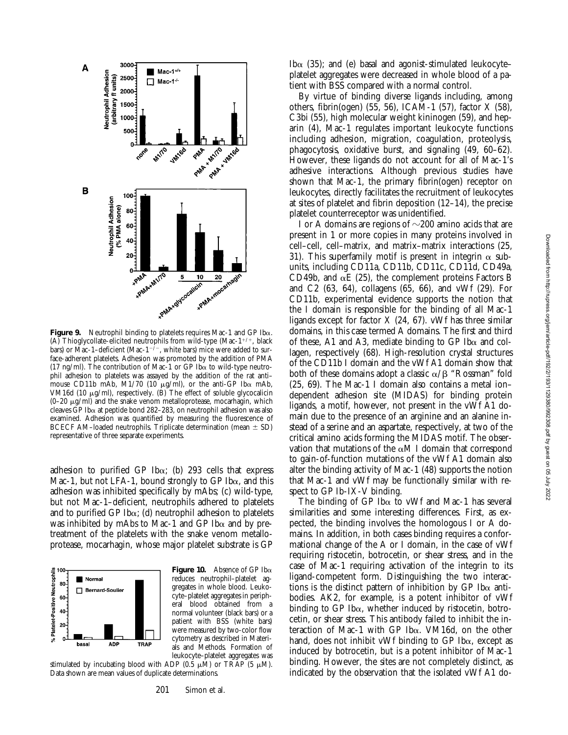

**Figure 9.** Neutrophil binding to platelets requires Mac-1 and GP Iba. (A) Thioglycollate-elicited neutrophils from wild-type (Mac- $1^{+/+}$ , black bars) or Mac-1–deficient (Mac-1<sup>-/-</sup>, white bars) mice were added to surface-adherent platelets. Adhesion was promoted by the addition of PMA (17 ng/ml). The contribution of Mac-1 or GP Ib $\alpha$  to wild-type neutrophil adhesion to platelets was assayed by the addition of the rat anti– mouse CD11b mAb, M1/70 (10  $\mu$ g/ml), or the anti-GP Ib $\alpha$  mAb, VM16d (10  $\mu$ g/ml), respectively. (B) The effect of soluble glycocalicin  $(0-20 \mu g/ml)$  and the snake venom metalloprotease, mocarhagin, which cleaves  $\overline{GP}$  Ib $\alpha$  at peptide bond 282–283, on neutrophil adhesion was also examined. Adhesion was quantified by measuring the fluorescence of BCECF AM-loaded neutrophils. Triplicate determination (mean  $\pm$  SD) representative of three separate experiments.

adhesion to purified GP Ib $\alpha$ ; (b) 293 cells that express Mac-1, but not LFA-1, bound strongly to GP Ib $\alpha$ , and this adhesion was inhibited specifically by mAbs; (c) wild-type, but not Mac-1–deficient, neutrophils adhered to platelets and to purified GP Ib $\alpha$ ; (d) neutrophil adhesion to platelets was inhibited by mAbs to Mac-1 and GP Ib $\alpha$  and by pretreatment of the platelets with the snake venom metalloprotease, mocarhagin, whose major platelet substrate is GP



**Figure 10.** Absence of GP Ib $\alpha$ reduces neutrophil–platelet aggregates in whole blood. Leukocyte–platelet aggregates in peripheral blood obtained from a normal volunteer (black bars) or a patient with BSS (white bars) were measured by two-color flow cytometry as described in Materials and Methods. Formation of leukocyte–platelet aggregates was

stimulated by incubating blood with ADP  $(0.5 \mu \dot{M})$  or TRAP (5  $\mu$ M). Data shown are mean values of duplicate determinations.

Ib $\alpha$  (35); and (e) basal and agonist-stimulated leukocyteplatelet aggregates were decreased in whole blood of a patient with BSS compared with a normal control.

By virtue of binding diverse ligands including, among others, fibrin(ogen) (55, 56), ICAM-1 (57), factor X (58), C3bi (55), high molecular weight kininogen (59), and heparin (4), Mac-1 regulates important leukocyte functions including adhesion, migration, coagulation, proteolysis, phagocytosis, oxidative burst, and signaling (49, 60–62). However, these ligands do not account for all of Mac-1's adhesive interactions. Although previous studies have shown that Mac-1, the primary fibrin(ogen) receptor on leukocytes, directly facilitates the recruitment of leukocytes at sites of platelet and fibrin deposition (12–14), the precise platelet counterreceptor was unidentified.

I or A domains are regions of  $\sim$ 200 amino acids that are present in 1 or more copies in many proteins involved in cell–cell, cell–matrix, and matrix–matrix interactions (25, 31). This superfamily motif is present in integrin  $\alpha$  subunits, including CD11a, CD11b, CD11c, CD11d, CD49a, CD49b, and  $\alpha$ E (25), the complement proteins Factors B and C2 (63, 64), collagens (65, 66), and vWf (29). For CD11b, experimental evidence supports the notion that the I domain is responsible for the binding of all Mac-1 ligands except for factor  $X$  (24, 67). vWf has three similar domains, in this case termed A domains. The first and third of these, A1 and A3, mediate binding to GP Ib $\alpha$  and collagen, respectively (68). High-resolution crystal structures of the CD11b I domain and the vWf A1 domain show that both of these domains adopt a classic  $\alpha/\beta$  "Rossman" fold (25, 69). The Mac-1 I domain also contains a metal ion– dependent adhesion site (MIDAS) for binding protein ligands, a motif, however, not present in the vWf A1 domain due to the presence of an arginine and an alanine instead of a serine and an aspartate, respectively, at two of the critical amino acids forming the MIDAS motif. The observation that mutations of the  $\alpha$ M I domain that correspond to gain-of-function mutations of the vWf A1 domain also alter the binding activity of Mac-1 (48) supports the notion that Mac-1 and vWf may be functionally similar with respect to GP Ib-IX-V binding.

The binding of GP Ib $\alpha$  to vWf and Mac-1 has several similarities and some interesting differences. First, as expected, the binding involves the homologous I or A domains. In addition, in both cases binding requires a conformational change of the A or I domain, in the case of vWf requiring ristocetin, botrocetin, or shear stress, and in the case of Mac-1 requiring activation of the integrin to its ligand-competent form. Distinguishing the two interactions is the distinct pattern of inhibition by GP Ib $\alpha$  antibodies. AK2, for example, is a potent inhibitor of vWf binding to GP Ib $\alpha$ , whether induced by ristocetin, botrocetin, or shear stress. This antibody failed to inhibit the interaction of Mac-1 with GP Iba. VM16d, on the other hand, does not inhibit vWf binding to GP Iba, except as induced by botrocetin, but is a potent inhibitor of Mac-1 binding. However, the sites are not completely distinct, as indicated by the observation that the isolated vWf A1 do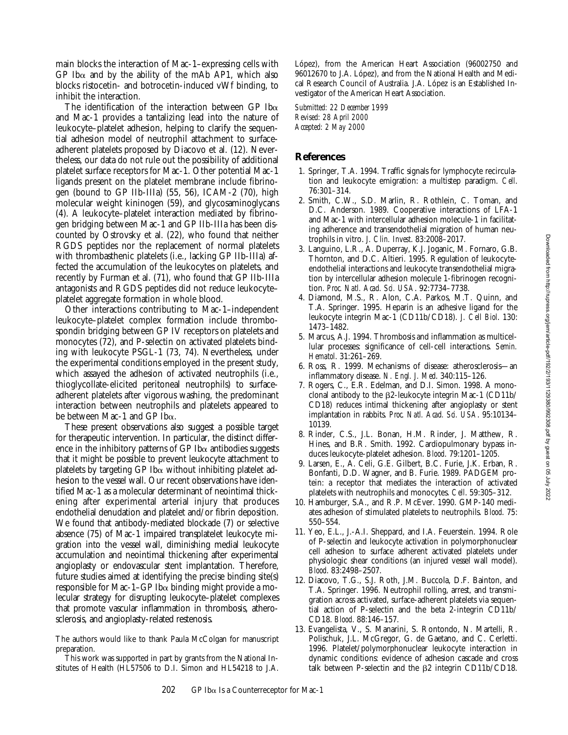main blocks the interaction of Mac-1–expressing cells with GP Ib $\alpha$  and by the ability of the mAb AP1, which also blocks ristocetin- and botrocetin-induced vWf binding, to inhibit the interaction.

The identification of the interaction between GP Ib $\alpha$ and Mac-1 provides a tantalizing lead into the nature of leukocyte–platelet adhesion, helping to clarify the sequential adhesion model of neutrophil attachment to surfaceadherent platelets proposed by Diacovo et al. (12). Nevertheless, our data do not rule out the possibility of additional platelet surface receptors for Mac-1. Other potential Mac-1 ligands present on the platelet membrane include fibrinogen (bound to GP IIb-IIIa) (55, 56), ICAM-2 (70), high molecular weight kininogen (59), and glycosaminoglycans (4). A leukocyte–platelet interaction mediated by fibrinogen bridging between Mac-1 and GP IIb-IIIa has been discounted by Ostrovsky et al. (22), who found that neither RGDS peptides nor the replacement of normal platelets with thrombasthenic platelets (i.e., lacking GP IIb-IIIa) affected the accumulation of the leukocytes on platelets, and recently by Furman et al. (71), who found that GP IIb-IIIa antagonists and RGDS peptides did not reduce leukocyte– platelet aggregate formation in whole blood.

Other interactions contributing to Mac-1–independent leukocyte–platelet complex formation include thrombospondin bridging between GP IV receptors on platelets and monocytes (72), and P-selectin on activated platelets binding with leukocyte PSGL-1 (73, 74). Nevertheless, under the experimental conditions employed in the present study, which assayed the adhesion of activated neutrophils (i.e., thioglycollate-elicited peritoneal neutrophils) to surfaceadherent platelets after vigorous washing, the predominant interaction between neutrophils and platelets appeared to be between Mac-1 and GP Ib $\alpha$ .

These present observations also suggest a possible target for therapeutic intervention. In particular, the distinct difference in the inhibitory patterns of GP Ib $\alpha$  antibodies suggests that it might be possible to prevent leukocyte attachment to platelets by targeting  $GP$  Ib $\alpha$  without inhibiting platelet adhesion to the vessel wall. Our recent observations have identified Mac-1 as a molecular determinant of neointimal thickening after experimental arterial injury that produces endothelial denudation and platelet and/or fibrin deposition. We found that antibody-mediated blockade (7) or selective absence (75) of Mac-1 impaired transplatelet leukocyte migration into the vessel wall, diminishing medial leukocyte accumulation and neointimal thickening after experimental angioplasty or endovascular stent implantation. Therefore, future studies aimed at identifying the precise binding site(s) responsible for Mac-1–GP Ib $\alpha$  binding might provide a molecular strategy for disrupting leukocyte–platelet complexes that promote vascular inflammation in thrombosis, atherosclerosis, and angioplasty-related restenosis.

The authors would like to thank Paula McColgan for manuscript preparation.

This work was supported in part by grants from the National Institutes of Health (HL57506 to D.I. Simon and HL54218 to J.A. López), from the American Heart Association (96002750 and 96012670 to J.A. López), and from the National Health and Medical Research Council of Australia. J.A. López is an Established Investigator of the American Heart Association.

*Submitted: 22 December 1999 Revised: 28 April 2000 Accepted: 2 May 2000*

## **References**

- 1. Springer, T.A. 1994. Traffic signals for lymphocyte recirculation and leukocyte emigration: a multistep paradigm. *Cell*. 76:301–314.
- 2. Smith, C.W., S.D. Marlin, R. Rothlein, C. Toman, and D.C. Anderson. 1989. Cooperative interactions of LFA-1 and Mac-1 with intercellular adhesion molecule-1 in facilitating adherence and transendothelial migration of human neutrophils in vitro. *J. Clin. Invest*. 83:2008–2017.
- 3. Languino, L.R., A. Duperray, K.J. Joganic, M. Fornaro, G.B. Thornton, and D.C. Altieri. 1995. Regulation of leukocyteendothelial interactions and leukocyte transendothelial migration by intercellular adhesion molecule 1-fibrinogen recognition. *Proc. Natl. Acad. Sci. USA*. 92:7734–7738.
- 4. Diamond, M.S., R. Alon, C.A. Parkos, M.T. Quinn, and T.A. Springer. 1995. Heparin is an adhesive ligand for the leukocyte integrin Mac-1 (CD11b/CD18). *J. Cell Biol*. 130: 1473–1482.
- 5. Marcus, A.J. 1994. Thrombosis and inflammation as multicellular processes: significance of cell-cell interactions. *Semin. Hematol*. 31:261–269.
- 6. Ross, R. 1999. Mechanisms of disease: atherosclerosis—an inflammatory disease. *N. Engl. J. Med*. 340:115–126.
- 7. Rogers, C., E.R. Edelman, and D.I. Simon. 1998. A monoclonal antibody to the  $\beta$ 2-leukocyte integrin Mac-1 (CD11b/ CD18) reduces intimal thickening after angioplasty or stent implantation in rabbits. *Proc. Natl. Acad. Sci. USA*. 95:10134– 10139.
- 8. Rinder, C.S., J.L. Bonan, H.M. Rinder, J. Matthew, R. Hines, and B.R. Smith. 1992. Cardiopulmonary bypass induces leukocyte-platelet adhesion. *Blood*. 79:1201–1205.
- 9. Larsen, E., A. Celi, G.E. Gilbert, B.C. Furie, J.K. Erban, R. Bonfanti, D.D. Wagner, and B. Furie. 1989. PADGEM protein: a receptor that mediates the interaction of activated platelets with neutrophils and monocytes. *Cell*. 59:305–312.
- 10. Hamburger, S.A., and R.P. McEver. 1990. GMP-140 mediates adhesion of stimulated platelets to neutrophils. *Blood*. 75: 550–554.
- 11. Yeo, E.L., J.-A.I. Sheppard, and I.A. Feuerstein. 1994. Role of P-selectin and leukocyte activation in polymorphonuclear cell adhesion to surface adherent activated platelets under physiologic shear conditions (an injured vessel wall model). *Blood*. 83:2498–2507.
- 12. Diacovo, T.G., S.J. Roth, J.M. Buccola, D.F. Bainton, and T.A. Springer. 1996. Neutrophil rolling, arrest, and transmigration across activated, surface-adherent platelets via sequential action of P-selectin and the beta 2-integrin CD11b/ CD18. *Blood*. 88:146–157.
- 13. Evangelista, V., S. Manarini, S. Rontondo, N. Martelli, R. Polischuk, J.L. McGregor, G. de Gaetano, and C. Cerletti. 1996. Platelet/polymorphonuclear leukocyte interaction in dynamic conditions: evidence of adhesion cascade and cross talk between P-selectin and the  $\beta$ 2 integrin CD11b/CD18.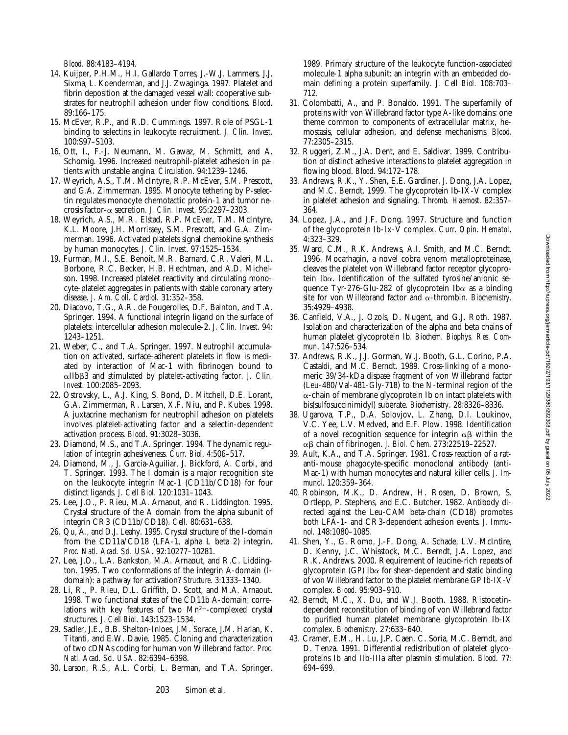- 14. Kuijper, P.H.M., H.I. Gallardo Torres, J.-W.J. Lammers, J.J. Sixma, L. Koenderman, and J.J. Zwaginga. 1997. Platelet and fibrin deposition at the damaged vessel wall: cooperative substrates for neutrophil adhesion under flow conditions. *Blood*. 89:166–175.
- 15. McEver, R.P., and R.D. Cummings. 1997. Role of PSGL-1 binding to selectins in leukocyte recruitment. *J. Clin. Invest*. 100:S97–S103.
- 16. Ott, I., F.-J. Neumann, M. Gawaz, M. Schmitt, and A. Schomig. 1996. Increased neutrophil-platelet adhesion in patients with unstable angina. *Circulation*. 94:1239–1246.
- 17. Weyrich, A.S., T.M. McIntyre, R.P. McEver, S.M. Prescott, and G.A. Zimmerman. 1995. Monocyte tethering by P-selectin regulates monocyte chemotactic protein-1 and tumor necrosis factor-a secretion. *J. Clin. Invest*. 95:2297–2303.
- 18. Weyrich, A.S., M.R. Elstad, R.P. McEver, T.M. McIntyre, K.L. Moore, J.H. Morrissey, S.M. Prescott, and G.A. Zimmerman. 1996. Activated platelets signal chemokine synthesis by human monocytes. *J. Clin. Invest*. 97:1525–1534.
- 19. Furman, M.I., S.E. Benoit, M.R. Barnard, C.R. Valeri, M.L. Borbone, R.C. Becker, H.B. Hechtman, and A.D. Michelson. 1998. Increased platelet reactivity and circulating monocyte-platelet aggregates in patients with stable coronary artery disease. *J. Am. Coll. Cardiol*. 31:352–358.
- 20. Diacovo, T.G., A.R. de Fougerolles, D.F. Bainton, and T.A. Springer. 1994. A functional integrin ligand on the surface of platelets: intercellular adhesion molecule-2. *J. Clin. Invest*. 94: 1243–1251.
- 21. Weber, C., and T.A. Springer. 1997. Neutrophil accumulation on activated, surface-adherent platelets in flow is mediated by interaction of Mac-1 with fibrinogen bound to aIIbb3 and stimulated by platelet-activating factor. *J. Clin. Invest*. 100:2085–2093.
- 22. Ostrovsky, L., A.J. King, S. Bond, D. Mitchell, D.E. Lorant, G.A. Zimmerman, R. Larsen, X.F. Niu, and P. Kubes. 1998. A juxtacrine mechanism for neutrophil adhesion on platelets involves platelet-activating factor and a selectin-dependent activation process. *Blood*. 91:3028–3036.
- 23. Diamond, M.S., and T.A. Springer. 1994. The dynamic regulation of integrin adhesiveness. *Curr. Biol*. 4:506–517.
- 24. Diamond, M., J. Garcia-Aguiliar, J. Bickford, A. Corbi, and T. Springer. 1993. The I domain is a major recognition site on the leukocyte integrin Mac-1 (CD11b/CD18) for four distinct ligands. *J. Cell Biol*. 120:1031–1043.
- 25. Lee, J.O., P. Rieu, M.A. Arnaout, and R. Liddington. 1995. Crystal structure of the A domain from the alpha subunit of integrin CR3 (CD11b/CD18). *Cell*. 80:631–638.
- 26. Qu, A., and D.J. Leahy. 1995. Crystal structure of the I-domain from the CD11a/CD18 (LFA-1, alpha L beta 2) integrin. *Proc. Natl. Acad. Sci. USA*. 92:10277–10281.
- 27. Lee, J.O., L.A. Bankston, M.A. Arnaout, and R.C. Liddington. 1995. Two conformations of the integrin A-domain (Idomain): a pathway for activation? *Structure*. 3:1333–1340.
- 28. Li, R., P. Rieu, D.L. Griffith, D. Scott, and M.A. Arnaout. 1998. Two functional states of the CD11b A-domain: correlations with key features of two  $Mn^{2+}$ -complexed crystal structures. *J. Cell Biol*. 143:1523–1534.
- 29. Sadler, J.E., B.B. Shelton-Inloes, J.M. Sorace, J.M. Harlan, K. Titanti, and E.W. Davie. 1985. Cloning and characterization of two cDNAs coding for human von Willebrand factor. *Proc. Natl. Acad. Sci. USA*. 82:6394–6398.
- 30. Larson, R.S., A.L. Corbi, L. Berman, and T.A. Springer.

1989. Primary structure of the leukocyte function-associated molecule-1 alpha subunit: an integrin with an embedded domain defining a protein superfamily. *J. Cell Biol*. 108:703– 712.

- 31. Colombatti, A., and P. Bonaldo. 1991. The superfamily of proteins with von Willebrand factor type A-like domains: one theme common to components of extracellular matrix, hemostasis, cellular adhesion, and defense mechanisms. *Blood*. 77:2305–2315.
- 32. Ruggeri, Z.M., J.A. Dent, and E. Saldivar. 1999. Contribution of distinct adhesive interactions to platelet aggregation in flowing blood. *Blood*. 94:172–178.
- 33. Andrews, R.K., Y. Shen, E.E. Gardiner, J. Dong, J.A. Lopez, and M.C. Berndt. 1999. The glycoprotein Ib-IX-V complex in platelet adhesion and signaling. *Thromb. Haemost*. 82:357– 364.
- 34. Lopez, J.A., and J.F. Dong. 1997. Structure and function of the glycoprotein Ib-Ix-V complex. *Curr. Opin. Hematol*. 4:323–329.
- 35. Ward, C.M., R.K. Andrews, A.I. Smith, and M.C. Berndt. 1996. Mocarhagin, a novel cobra venom metalloproteinase, cleaves the platelet von Willebrand factor receptor glycoprotein Iba. Identification of the sulfated tyrosine/anionic sequence Tyr-276-Glu-282 of glycoprotein Ib $\alpha$  as a binding site for von Willebrand factor and  $\alpha$ -thrombin. *Biochemistry*. 35:4929–4938.
- 36. Canfield, V.A., J. Ozols, D. Nugent, and G.J. Roth. 1987. Isolation and characterization of the alpha and beta chains of human platelet glycoprotein Ib. *Biochem. Biophys. Res. Commun*. 147:526–534.
- 37. Andrews, R.K., J.J. Gorman, W.J. Booth, G.L. Corino, P.A. Castaldi, and M.C. Berndt. 1989. Cross-linking of a monomeric 39/34-kDa dispase fragment of von Willebrand factor (Leu-480/Val-481-Gly-718) to the N-terminal region of the  $\alpha$ -chain of membrane glycoprotein Ib on intact platelets with bis(sulfosuccinimidyl) suberate. *Biochemistry*. 28:8326–8336.
- 38. Ugarova, T.P., D.A. Solovjov, L. Zhang, D.I. Loukinov, V.C. Yee, L.V. Medved, and E.F. Plow. 1998. Identification of a novel recognition sequence for integrin  $\alpha\beta$  within the ab chain of fibrinogen. *J. Biol. Chem*. 273:22519–22527.
- 39. Ault, K.A., and T.A. Springer. 1981. Cross-reaction of a ratanti-mouse phagocyte-specific monoclonal antibody (anti-Mac-1) with human monocytes and natural killer cells. *J. Immunol*. 120:359–364.
- 40. Robinson, M.K., D. Andrew, H. Rosen, D. Brown, S. Ortlepp, P. Stephens, and E.C. Butcher. 1982. Antibody directed against the Leu-CAM beta-chain (CD18) promotes both LFA-1- and CR3-dependent adhesion events. *J. Immunol*. 148:1080–1085.
- 41. Shen, Y., G. Romo, J.-F. Dong, A. Schade, L.V. McIntire, D. Kenny, J.C. Whisstock, M.C. Berndt, J.A. Lopez, and R.K. Andrews. 2000. Requirement of leucine-rich repeats of glycoprotein (GP) Ib $\alpha$  for shear-dependent and static binding of von Willebrand factor to the platelet membrane GP Ib-IX-V complex. *Blood*. 95:903–910.
- 42. Berndt, M.C., X. Du, and W.J. Booth. 1988. Ristocetindependent reconstitution of binding of von Willebrand factor to purified human platelet membrane glycoprotein Ib-IX complex. *Biochemistry*. 27:633–640.
- 43. Cramer, E.M., H. Lu, J.P. Caen, C. Soria, M.C. Berndt, and D. Tenza. 1991. Differential redistribution of platelet glycoproteins Ib and IIb-IIIa after plasmin stimulation. *Blood*. 77: 694–699.